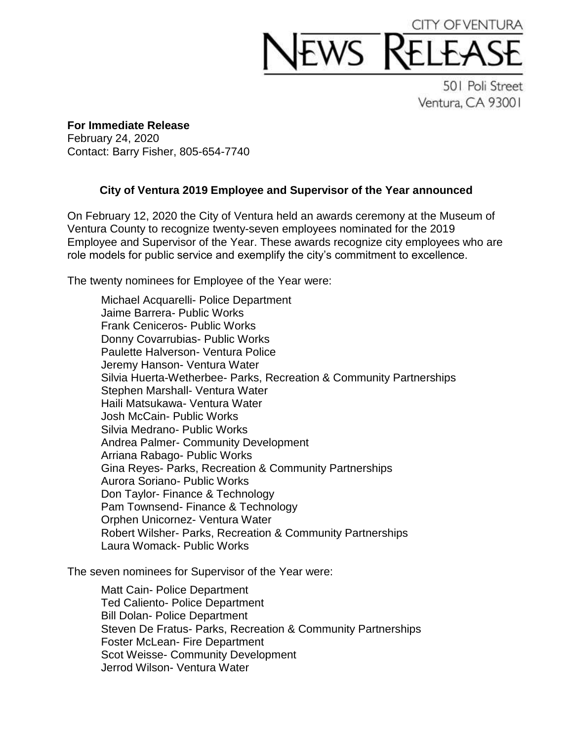

501 Poli Street Ventura, CA 93001

**For Immediate Release** February 24, 2020 Contact: Barry Fisher, 805-654-7740

## **City of Ventura 2019 Employee and Supervisor of the Year announced**

On February 12, 2020 the City of Ventura held an awards ceremony at the Museum of Ventura County to recognize twenty-seven employees nominated for the 2019 Employee and Supervisor of the Year. These awards recognize city employees who are role models for public service and exemplify the city's commitment to excellence.

The twenty nominees for Employee of the Year were:

Michael Acquarelli- Police Department Jaime Barrera- Public Works Frank Ceniceros- Public Works Donny Covarrubias- Public Works Paulette Halverson- Ventura Police Jeremy Hanson- Ventura Water Silvia Huerta-Wetherbee- Parks, Recreation & Community Partnerships Stephen Marshall- Ventura Water Haili Matsukawa- Ventura Water Josh McCain- Public Works Silvia Medrano- Public Works Andrea Palmer- Community Development Arriana Rabago- Public Works Gina Reyes- Parks, Recreation & Community Partnerships Aurora Soriano- Public Works Don Taylor- Finance & Technology Pam Townsend- Finance & Technology Orphen Unicornez- Ventura Water Robert Wilsher- Parks, Recreation & Community Partnerships Laura Womack- Public Works

The seven nominees for Supervisor of the Year were:

Matt Cain- Police Department Ted Caliento- Police Department Bill Dolan- Police Department Steven De Fratus- Parks, Recreation & Community Partnerships Foster McLean- Fire Department Scot Weisse- Community Development Jerrod Wilson- Ventura Water